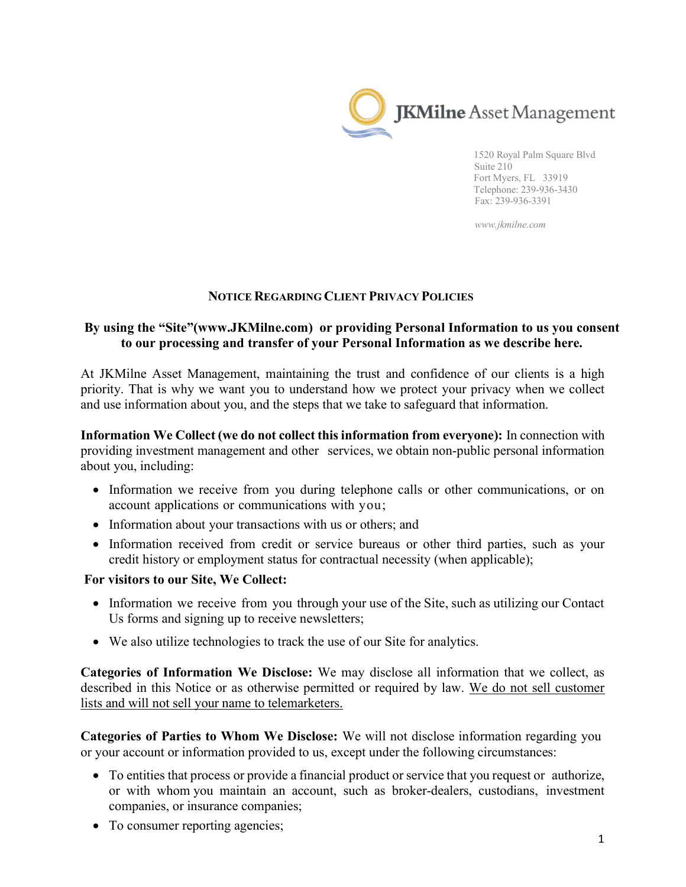

1520 Royal Palm Square Blvd Suite 210 Fort Myers, FL 33919 Telephone: 239-936-3430 Fax: 239-936-3391

www.jkmilne.com

## NOTICE REGARDING CLIENT PRIVACY POLICIES

## By using the "Site"(www.JKMilne.com) or providing Personal Information to us you consent to our processing and transfer of your Personal Information as we describe here.

At JKMilne Asset Management, maintaining the trust and confidence of our clients is a high priority. That is why we want you to understand how we protect your privacy when we collect and use information about you, and the steps that we take to safeguard that information.

Information We Collect (we do not collect this information from everyone): In connection with providing investment management and other services, we obtain non-public personal information about you, including:

- Information we receive from you during telephone calls or other communications, or on account applications or communications with you;
- Information about your transactions with us or others; and
- Information received from credit or service bureaus or other third parties, such as your credit history or employment status for contractual necessity (when applicable);

## For visitors to our Site, We Collect:

- Information we receive from you through your use of the Site, such as utilizing our Contact Us forms and signing up to receive newsletters;
- We also utilize technologies to track the use of our Site for analytics.

Categories of Information We Disclose: We may disclose all information that we collect, as described in this Notice or as otherwise permitted or required by law. We do not sell customer lists and will not sell your name to telemarketers.

Categories of Parties to Whom We Disclose: We will not disclose information regarding you or your account or information provided to us, except under the following circumstances:

- To entities that process or provide a financial product or service that you request or authorize, or with whom you maintain an account, such as broker-dealers, custodians, investment companies, or insurance companies;
- To consumer reporting agencies;